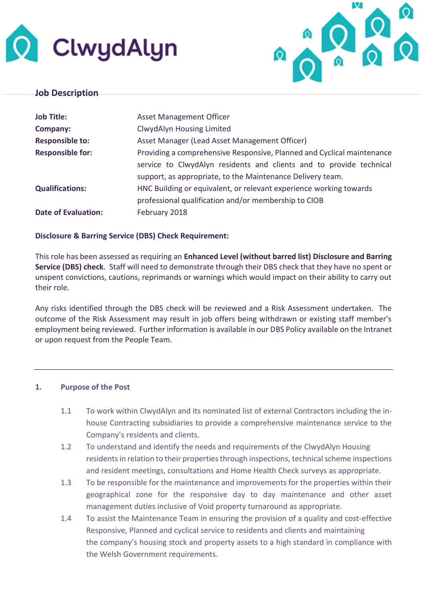



# **Job Description**

| <b>Job Title:</b>          | <b>Asset Management Officer</b>                                        |
|----------------------------|------------------------------------------------------------------------|
| Company:                   | <b>ClwydAlyn Housing Limited</b>                                       |
| <b>Responsible to:</b>     | Asset Manager (Lead Asset Management Officer)                          |
| <b>Responsible for:</b>    | Providing a comprehensive Responsive, Planned and Cyclical maintenance |
|                            | service to ClwydAlyn residents and clients and to provide technical    |
|                            | support, as appropriate, to the Maintenance Delivery team.             |
| <b>Qualifications:</b>     | HNC Building or equivalent, or relevant experience working towards     |
|                            | professional qualification and/or membership to CIOB                   |
| <b>Date of Evaluation:</b> | February 2018                                                          |

**Disclosure & Barring Service (DBS) Check Requirement:**

This role has been assessed as requiring an **Enhanced Level (without barred list) Disclosure and Barring Service (DBS) check**. Staff will need to demonstrate through their DBS check that they have no spent or unspent convictions, cautions, reprimands or warnings which would impact on their ability to carry out their role.

Any risks identified through the DBS check will be reviewed and a Risk Assessment undertaken. The outcome of the Risk Assessment may result in job offers being withdrawn or existing staff member's employment being reviewed. Further information is available in our DBS Policy available on the Intranet or upon request from the People Team.

#### **1. Purpose of the Post**

- 1.1 To work within ClwydAlyn and its nominated list of external Contractors including the inhouse Contracting subsidiaries to provide a comprehensive maintenance service to the Company's residents and clients.
- 1.2 To understand and identify the needs and requirements of the ClwydAlyn Housing residents in relation to their properties through inspections, technical scheme inspections and resident meetings, consultations and Home Health Check surveys as appropriate.
- 1.3 To be responsible for the maintenance and improvements for the properties within their geographical zone for the responsive day to day maintenance and other asset management duties inclusive of Void property turnaround as appropriate.
- 1.4 To assist the Maintenance Team in ensuring the provision of a quality and cost-effective Responsive, Planned and cyclical service to residents and clients and maintaining the company's housing stock and property assets to a high standard in compliance with the Welsh Government requirements.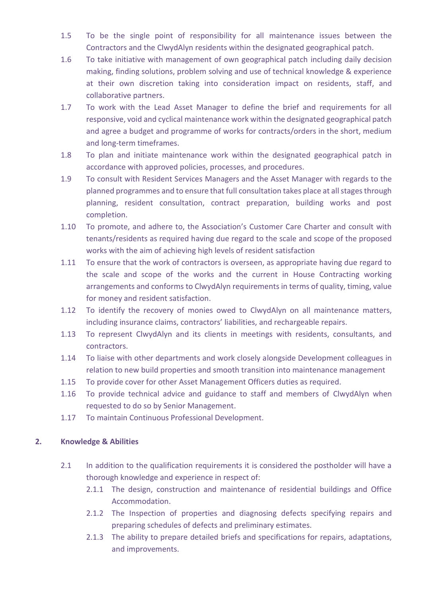- 1.5 To be the single point of responsibility for all maintenance issues between the Contractors and the ClwydAlyn residents within the designated geographical patch.
- 1.6 To take initiative with management of own geographical patch including daily decision making, finding solutions, problem solving and use of technical knowledge & experience at their own discretion taking into consideration impact on residents, staff, and collaborative partners.
- 1.7 To work with the Lead Asset Manager to define the brief and requirements for all responsive, void and cyclical maintenance work within the designated geographical patch and agree a budget and programme of works for contracts/orders in the short, medium and long-term timeframes.
- 1.8 To plan and initiate maintenance work within the designated geographical patch in accordance with approved policies, processes, and procedures.
- 1.9 To consult with Resident Services Managers and the Asset Manager with regards to the planned programmes and to ensure that full consultation takes place at all stages through planning, resident consultation, contract preparation, building works and post completion.
- 1.10 To promote, and adhere to, the Association's Customer Care Charter and consult with tenants/residents as required having due regard to the scale and scope of the proposed works with the aim of achieving high levels of resident satisfaction
- 1.11 To ensure that the work of contractors is overseen, as appropriate having due regard to the scale and scope of the works and the current in House Contracting working arrangements and conforms to ClwydAlyn requirements in terms of quality, timing, value for money and resident satisfaction.
- 1.12 To identify the recovery of monies owed to ClwydAlyn on all maintenance matters, including insurance claims, contractors' liabilities, and rechargeable repairs.
- 1.13 To represent ClwydAlyn and its clients in meetings with residents, consultants, and contractors.
- 1.14 To liaise with other departments and work closely alongside Development colleagues in relation to new build properties and smooth transition into maintenance management
- 1.15 To provide cover for other Asset Management Officers duties as required.
- 1.16 To provide technical advice and guidance to staff and members of ClwydAlyn when requested to do so by Senior Management.
- 1.17 To maintain Continuous Professional Development.

# **2. Knowledge & Abilities**

- 2.1 In addition to the qualification requirements it is considered the postholder will have a thorough knowledge and experience in respect of:
	- 2.1.1 The design, construction and maintenance of residential buildings and Office Accommodation.
	- 2.1.2 The Inspection of properties and diagnosing defects specifying repairs and preparing schedules of defects and preliminary estimates.
	- 2.1.3 The ability to prepare detailed briefs and specifications for repairs, adaptations, and improvements.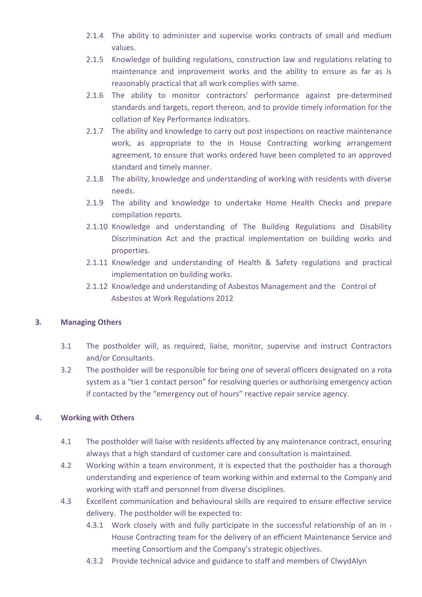- 2.1.4 The ability to administer and supervise works contracts of small and medium values.
- 2.1.5 Knowledge of building regulations, construction law and regulations relating to maintenance and improvement works and the ability to ensure as far as is reasonably practical that all work complies with same.
- 2.1.6 The ability to monitor contractors' performance against pre-determined standards and targets, report thereon, and to provide timely information for the collation of Key Performance Indicators.
- 2.1.7 The ability and knowledge to carry out post inspections on reactive maintenance work, as appropriate to the in House Contracting working arrangement agreement, to ensure that works ordered have been completed to an approved standard and timely manner.
- 2.1.8 The ability, knowledge and understanding of working with residents with diverse needs.
- 2.1.9 The ability and knowledge to undertake Home Health Checks and prepare compilation reports.
- 2.1.10 Knowledge and understanding of The Building Regulations and Disability Discrimination Act and the practical implementation on building works and properties.
- 2.1.11 Knowledge and understanding of Health & Safety regulations and practical implementation on building works.
- 2.1.12 Knowledge and understanding of Asbestos Management and the Control of Asbestos at Work Regulations 2012

# **3. Managing Others**

- 3.1 The postholder will, as required, liaise, monitor, supervise and instruct Contractors and/or Consultants.
- 3.2 The postholder will be responsible for being one of several officers designated on a rota system as a "tier 1 contact person" for resolving queries or authorising emergency action if contacted by the "emergency out of hours" reactive repair service agency.

# **4. Working with Others**

- 4.1 The postholder will liaise with residents affected by any maintenance contract, ensuring always that a high standard of customer care and consultation is maintained.
- 4.2 Working within a team environment, it is expected that the postholder has a thorough understanding and experience of team working within and external to the Company and working with staff and personnel from diverse disciplines.
- 4.3 Excellent communication and behavioural skills are required to ensure effective service delivery. The postholder will be expected to:
	- 4.3.1 Work closely with and fully participate in the successful relationship of an in House Contracting team for the delivery of an efficient Maintenance Service and meeting Consortium and the Company's strategic objectives.
	- 4.3.2 Provide technical advice and guidance to staff and members of ClwydAlyn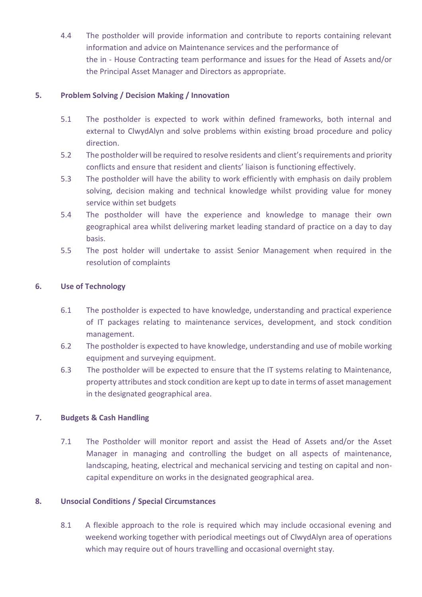4.4 The postholder will provide information and contribute to reports containing relevant information and advice on Maintenance services and the performance of the in - House Contracting team performance and issues for the Head of Assets and/or the Principal Asset Manager and Directors as appropriate.

# **5. Problem Solving / Decision Making / Innovation**

- 5.1 The postholder is expected to work within defined frameworks, both internal and external to ClwydAlyn and solve problems within existing broad procedure and policy direction.
- 5.2 The postholder will be required to resolve residents and client's requirements and priority conflicts and ensure that resident and clients' liaison is functioning effectively.
- 5.3 The postholder will have the ability to work efficiently with emphasis on daily problem solving, decision making and technical knowledge whilst providing value for money service within set budgets
- 5.4 The postholder will have the experience and knowledge to manage their own geographical area whilst delivering market leading standard of practice on a day to day basis.
- 5.5 The post holder will undertake to assist Senior Management when required in the resolution of complaints

# **6. Use of Technology**

- 6.1 The postholder is expected to have knowledge, understanding and practical experience of IT packages relating to maintenance services, development, and stock condition management.
- 6.2 The postholder is expected to have knowledge, understanding and use of mobile working equipment and surveying equipment.
- 6.3 The postholder will be expected to ensure that the IT systems relating to Maintenance, property attributes and stock condition are kept up to date in terms of asset management in the designated geographical area.

# **7. Budgets & Cash Handling**

7.1 The Postholder will monitor report and assist the Head of Assets and/or the Asset Manager in managing and controlling the budget on all aspects of maintenance, landscaping, heating, electrical and mechanical servicing and testing on capital and noncapital expenditure on works in the designated geographical area.

# **8. Unsocial Conditions / Special Circumstances**

8.1 A flexible approach to the role is required which may include occasional evening and weekend working together with periodical meetings out of ClwydAlyn area of operations which may require out of hours travelling and occasional overnight stay.